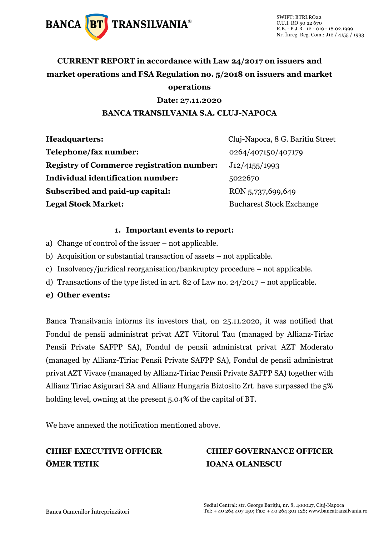

### **CURRENT REPORT in accordance with Law 24/2017 on issuers and market operations and FSA Regulation no. 5/2018 on issuers and market operations**

#### **Date: 27.11.2020**

### **BANCA TRANSILVANIA S.A. CLUJ-NAPOCA**

| <b>Headquarters:</b>                             | Cluj-Napoca, 8 G. Baritiu Street |
|--------------------------------------------------|----------------------------------|
| Telephone/fax number:                            | 0264/407150/407179               |
| <b>Registry of Commerce registration number:</b> | J12/4155/1993                    |
| <b>Individual identification number:</b>         | 5022670                          |
| Subscribed and paid-up capital:                  | RON 5,737,699,649                |
| <b>Legal Stock Market:</b>                       | <b>Bucharest Stock Exchange</b>  |

#### **1. Important events to report:**

- a) Change of control of the issuer not applicable.
- b) Acquisition or substantial transaction of assets not applicable.
- c) Insolvency/juridical reorganisation/bankruptcy procedure not applicable.
- d) Transactions of the type listed in art. 82 of Law no. 24/2017 not applicable.
- **e) Other events:**

Banca Transilvania informs its investors that, on 25.11.2020, it was notified that Fondul de pensii administrat privat AZT Viitorul Tau (managed by Allianz-Tiriac Pensii Private SAFPP SA), Fondul de pensii administrat privat AZT Moderato (managed by Allianz-Tiriac Pensii Private SAFPP SA), Fondul de pensii administrat privat AZT Vivace (managed by Allianz-Tiriac Pensii Private SAFPP SA) together with Allianz Tiriac Asigurari SA and Allianz Hungaria Biztosito Zrt. have surpassed the 5% holding level, owning at the present 5.04% of the capital of BT.

We have annexed the notification mentioned above.

## **ÖMER TETIK IOANA OLANESCU**

# **CHIEF EXECUTIVE OFFICER CHIEF GOVERNANCE OFFICER**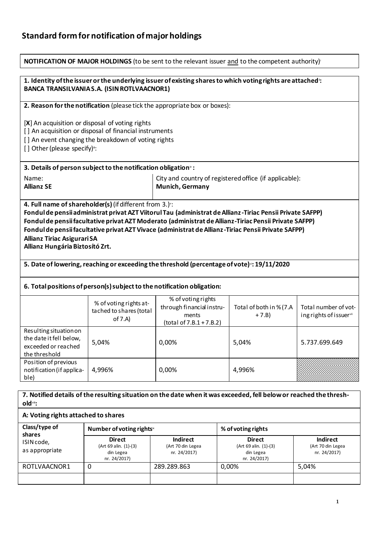### **Standard form for notification of major holdings**

| <b>NOTIFICATION OF MAJOR HOLDINGS</b> (to be sent to the relevant issuer and to the competent authority) <sup>1</sup>                                                                                                                                                                                                                                                                                                                                                                                                                                                                                                                     |                                                                            |                                                                                      |                                    |                                                |  |
|-------------------------------------------------------------------------------------------------------------------------------------------------------------------------------------------------------------------------------------------------------------------------------------------------------------------------------------------------------------------------------------------------------------------------------------------------------------------------------------------------------------------------------------------------------------------------------------------------------------------------------------------|----------------------------------------------------------------------------|--------------------------------------------------------------------------------------|------------------------------------|------------------------------------------------|--|
| 1. Identity of the issuer or the underlying issuer of existing shares to which voting rights are attached:<br><b>BANCA TRANSILVANIA S.A. (ISIN ROTLVAACNOR1)</b>                                                                                                                                                                                                                                                                                                                                                                                                                                                                          |                                                                            |                                                                                      |                                    |                                                |  |
|                                                                                                                                                                                                                                                                                                                                                                                                                                                                                                                                                                                                                                           | 2. Reason for the notification (please tick the appropriate box or boxes): |                                                                                      |                                    |                                                |  |
| [X] An acquisition or disposal of voting rights<br>[] An acquisition or disposal of financial instruments<br>[] An event changing the breakdown of voting rights<br>[] Other (please specify)":                                                                                                                                                                                                                                                                                                                                                                                                                                           |                                                                            |                                                                                      |                                    |                                                |  |
|                                                                                                                                                                                                                                                                                                                                                                                                                                                                                                                                                                                                                                           | 3. Details of person subject to the notification obligation <sup>®</sup> : |                                                                                      |                                    |                                                |  |
| Name:<br><b>Allianz SE</b>                                                                                                                                                                                                                                                                                                                                                                                                                                                                                                                                                                                                                | City and country of registered office (if applicable):<br>Munich, Germany  |                                                                                      |                                    |                                                |  |
| 4. Full name of shareholder(s) (if different from 3.) v:<br>Fondul de pensii administrat privat AZT Viitorul Tau (administrat de Allianz -Tiriac Pensii Private SAFPP)<br>Fondul de pensii facultative privat AZT Moderato (administrat de Allianz-Tiriac Pensii Private SAFPP)<br>Fondul de pensii facultative privat AZT Vivace (administrat de Allianz-Tiriac Pensii Private SAFPP)<br><b>Allianz Tiriac Asigurari SA</b><br>Allianz Hungária Biztosító Zrt.<br>5. Date of lowering, reaching or exceeding the threshold (percentage of vote) :: 19/11/2020<br>6. Total positions of person(s) subject to the notification obligation: |                                                                            |                                                                                      |                                    |                                                |  |
|                                                                                                                                                                                                                                                                                                                                                                                                                                                                                                                                                                                                                                           | % of voting rights at-<br>tached to shares (total<br>of 7.A)               | % of voting rights<br>through financial instru-<br>ments<br>(total of 7.B.1 + 7.B.2) | Total of both in % (7.A<br>$+7.B)$ | Total number of vot-<br>ing rights of issuervi |  |
| Resulting situation on<br>the date it fell below,<br>exceeded or reached<br>the threshold                                                                                                                                                                                                                                                                                                                                                                                                                                                                                                                                                 | 5,04%                                                                      | 0,00%                                                                                | 5,04%                              | 5.737.699.649                                  |  |
| Position of previous<br>notification (if applica-<br>ble)                                                                                                                                                                                                                                                                                                                                                                                                                                                                                                                                                                                 | 4,996%                                                                     | 0,00%                                                                                | 4,996%                             |                                                |  |
| 7. Notified details of the resulting situation on the date when it was exceeded, fell below or reached the thresh-<br>old <sup>vii</sup> :                                                                                                                                                                                                                                                                                                                                                                                                                                                                                                |                                                                            |                                                                                      |                                    |                                                |  |
| A: Voting rights attached to shares                                                                                                                                                                                                                                                                                                                                                                                                                                                                                                                                                                                                       |                                                                            |                                                                                      |                                    |                                                |  |
| Class/type of<br>shares                                                                                                                                                                                                                                                                                                                                                                                                                                                                                                                                                                                                                   | Number of voting rights <sup>™</sup>                                       |                                                                                      | % of voting rights                 |                                                |  |

| Class/type of<br>shares<br>ISIN code,<br>as appropriate | Number of voting rights <sup>™</sup>                                |                                                      | % of voting rights                                                  |                                                      |
|---------------------------------------------------------|---------------------------------------------------------------------|------------------------------------------------------|---------------------------------------------------------------------|------------------------------------------------------|
|                                                         | <b>Direct</b><br>(Art 69 alin. (1)-(3)<br>din Legea<br>nr. 24/2017) | <b>Indirect</b><br>(Art 70 din Legea<br>nr. 24/2017) | <b>Direct</b><br>(Art 69 alin. (1)-(3)<br>din Legea<br>nr. 24/2017) | <b>Indirect</b><br>(Art 70 din Legea<br>nr. 24/2017) |
| ROTLVAACNOR1                                            | 0                                                                   | 289.289.863                                          | 0,00%                                                               | 5,04%                                                |
|                                                         |                                                                     |                                                      |                                                                     |                                                      |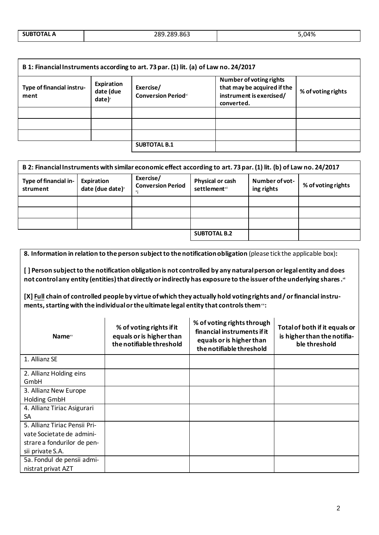| B 1: Financial Instruments according to art. 73 par. (1) lit. (a) of Law no. 24/2017 |                                     |                                         |                                                                                                  |                    |
|--------------------------------------------------------------------------------------|-------------------------------------|-----------------------------------------|--------------------------------------------------------------------------------------------------|--------------------|
| Type of financial instru-<br>ment                                                    | Expiration<br>date (due<br>date $)$ | Exercise/<br><b>Conversion Periodxi</b> | Number of voting rights<br>that may be acquired if the<br>instrument is exercised/<br>converted. | % of voting rights |
|                                                                                      |                                     |                                         |                                                                                                  |                    |
|                                                                                      |                                     |                                         |                                                                                                  |                    |
|                                                                                      |                                     |                                         |                                                                                                  |                    |
|                                                                                      |                                     | <b>SUBTOTAL B.1</b>                     |                                                                                                  |                    |

| B 2: Financial Instruments with similar economic effect according to art. 73 par. (1) lit. (b) of Law no. 24/2017 |                                            |                                                                                                                                              |  |  |  |
|-------------------------------------------------------------------------------------------------------------------|--------------------------------------------|----------------------------------------------------------------------------------------------------------------------------------------------|--|--|--|
| Type of financial in-<br>strument                                                                                 | Expiration<br>date (due date) <sup>x</sup> | Exercise/<br>Number of vot-<br>Physical or cash<br>% of voting rights<br><b>Conversion Period</b><br>settlement <sup>xii</sup><br>ing rights |  |  |  |
|                                                                                                                   |                                            |                                                                                                                                              |  |  |  |
|                                                                                                                   |                                            |                                                                                                                                              |  |  |  |
|                                                                                                                   |                                            |                                                                                                                                              |  |  |  |
|                                                                                                                   |                                            | <b>SUBTOTAL B.2</b>                                                                                                                          |  |  |  |

| 8. Information in relation to the person subject to the notification obligation (please tick the applicable box):                                                                                                                                    |                                                                                                     |                                                                                                                   |                                                                               |  |
|------------------------------------------------------------------------------------------------------------------------------------------------------------------------------------------------------------------------------------------------------|-----------------------------------------------------------------------------------------------------|-------------------------------------------------------------------------------------------------------------------|-------------------------------------------------------------------------------|--|
| [] Person subject to the notification obligation is not controlled by any natural person or legal entity and does<br>not control any entity (entities) that directly or indirectly has exposure to the issuer of the underlying shares. <sup>*</sup> |                                                                                                     |                                                                                                                   |                                                                               |  |
|                                                                                                                                                                                                                                                      | ments, starting with the individual or the ultimate legal entity that controls them <sup>**</sup> : | [X] Full chain of controlled people by virtue of which they actually hold voting rights and/or financial instru-  |                                                                               |  |
| <b>Name</b> <sup>xv</sup>                                                                                                                                                                                                                            | % of voting rights if it<br>equals or is higher than<br>the notifiable threshold                    | % of voting rights through<br>financial instruments if it<br>equals or is higher than<br>the notifiable threshold | Total of both if it equals or<br>is higher than the notifia-<br>ble threshold |  |
| 1. Allianz SE                                                                                                                                                                                                                                        |                                                                                                     |                                                                                                                   |                                                                               |  |
| 2. Allianz Holding eins<br>GmbH                                                                                                                                                                                                                      |                                                                                                     |                                                                                                                   |                                                                               |  |
| 3. Allianz New Europe<br><b>Holding GmbH</b>                                                                                                                                                                                                         |                                                                                                     |                                                                                                                   |                                                                               |  |
| 4. Allianz Tiriac Asigurari<br>SA                                                                                                                                                                                                                    |                                                                                                     |                                                                                                                   |                                                                               |  |
| 5. Allianz Tiriac Pensii Pri-<br>vate Societate de admini-                                                                                                                                                                                           |                                                                                                     |                                                                                                                   |                                                                               |  |
| strare a fondurilor de pen-<br>sii private S.A.                                                                                                                                                                                                      |                                                                                                     |                                                                                                                   |                                                                               |  |
| 5a. Fondul de pensii admi-<br>nistrat privat AZT                                                                                                                                                                                                     |                                                                                                     |                                                                                                                   |                                                                               |  |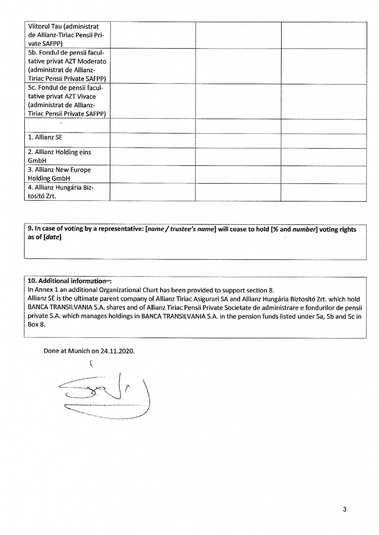| Viitorul Tau (administrat           |  |  |
|-------------------------------------|--|--|
| de Allianz-Tiriac Pensii Pri-       |  |  |
| vate SAFPP)                         |  |  |
| 5b. Fondul de pensii facul-         |  |  |
| tative privat AZT Moderato          |  |  |
| (administrat de Allianz-            |  |  |
| <b>Tiriac Pensii Private SAFPP)</b> |  |  |
| 5c. Fondul de pensii facul-         |  |  |
| tative privat AZT Vivace            |  |  |
| (administrat de Allianz-            |  |  |
| Tiriac Pensii Private SAFPP)        |  |  |
|                                     |  |  |
| 1. Allianz SE                       |  |  |
|                                     |  |  |
| 2. Allianz Holding eins             |  |  |
| GmbH                                |  |  |
| 3. Allianz New Europe               |  |  |
| <b>Holding GmbH</b>                 |  |  |
| 4. Allianz Hungária Biz-            |  |  |
| tosító Zrt.                         |  |  |

9. In case of voting by a representative: [name / trustee's name] will cease to hold [% and number] voting rights as of [date]

### 10. Additional information\*\*:

In Annex 1 an additional Organizational Chart has been provided to support section 8.

Allianz SE is the ultimate parent company of Allianz Tiriac Asigurari SA and Allianz Hungária Biztosító Zrt. which hold BANCA TRANSILVANIA S.A. shares and of Allianz Tiriac Pensii Private Societate de administrare e fondurilor de pensii private S.A. which manages holdings in BANCA TRANSILVANIA S.A. in the pension funds listed under 5a, 5b and 5c in Box 8.

Done at Munich on 24.11.2020.